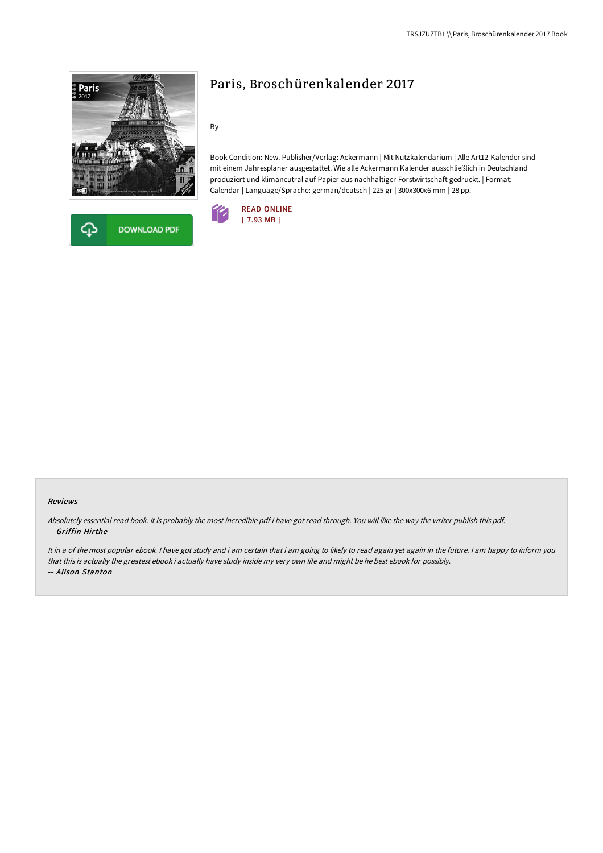



# Paris, Broschürenkalender 2017

By -

Book Condition: New. Publisher/Verlag: Ackermann | Mit Nutzkalendarium | Alle Art12-Kalender sind mit einem Jahresplaner ausgestattet. Wie alle Ackermann Kalender ausschließlich in Deutschland produziert und klimaneutral auf Papier aus nachhaltiger Forstwirtschaft gedruckt. | Format: Calendar | Language/Sprache: german/deutsch | 225 gr | 300x300x6 mm | 28 pp.



### Reviews

Absolutely essential read book. It is probably the most incredible pdf i have got read through. You will like the way the writer publish this pdf. -- Griffin Hirthe

It in a of the most popular ebook. I have got study and i am certain that i am going to likely to read again yet again in the future. I am happy to inform you that this is actually the greatest ebook i actually have study inside my very own life and might be he best ebook for possibly. -- Alison Stanton